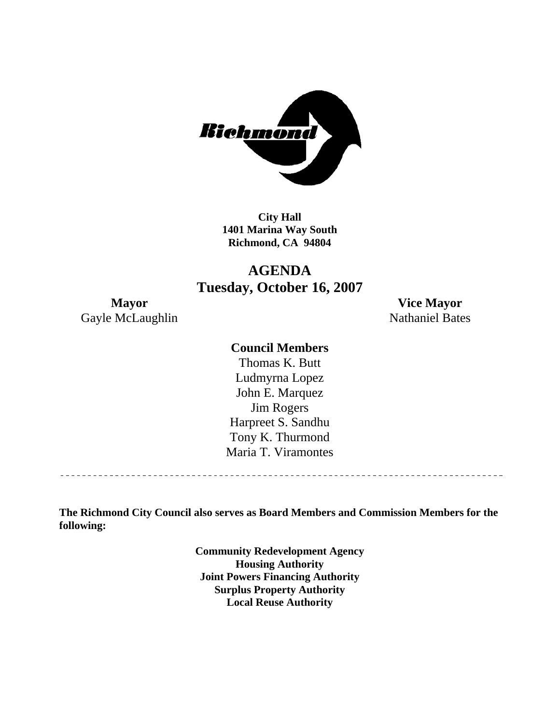

**City Hall 1401 Marina Way South Richmond, CA 94804** 

# **AGENDA Tuesday, October 16, 2007**

Gayle McLaughlin Nathaniel Bates

**Mayor Vice Mayor** 

#### **Council Members**

Harpreet S. Sandhu Tony K. Thurmond Maria T. Viramontes Thomas K. Butt Ludmyrna Lopez John E. Marquez Jim Rogers

**The Richmond City Council also serves as Board Members and Commission Members for the following:** 

> **Community Redevelopment Agency Housing Authority Joint Powers Financing Authority Surplus Property Authority Local Reuse Authority**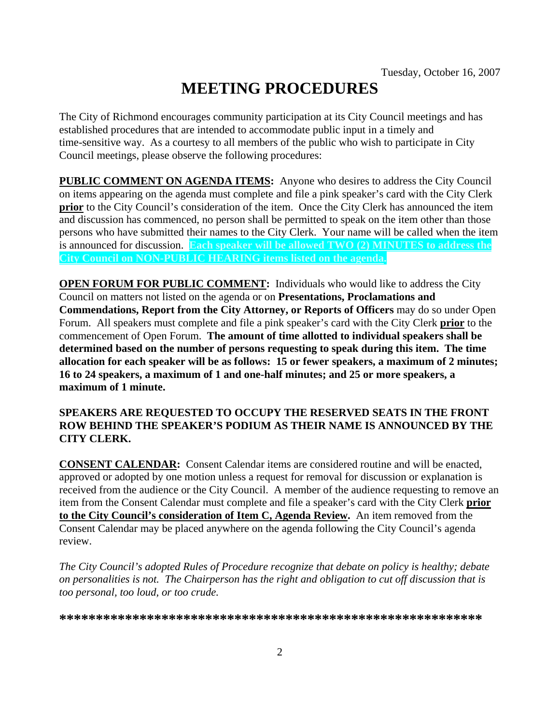# **MEETING PROCEDURES**

The City of Richmond encourages community participation at its City Council meetings and has established procedures that are intended to accommodate public input in a timely and time-sensitive way. As a courtesy to all members of the public who wish to participate in City Council meetings, please observe the following procedures:

**PUBLIC COMMENT ON AGENDA ITEMS:** Anyone who desires to address the City Council on items appearing on the agenda must complete and file a pink speaker's card with the City Clerk **prior** to the City Council's consideration of the item. Once the City Clerk has announced the item and discussion has commenced, no person shall be permitted to speak on the item other than those persons who have submitted their names to the City Clerk. Your name will be called when the item is announced for discussion. **Each speaker will be allowed TWO (2) MINUTES to address the City Council on NON-PUBLIC HEARING items listed on the agenda.** 

**OPEN FORUM FOR PUBLIC COMMENT:** Individuals who would like to address the City Council on matters not listed on the agenda or on **Presentations, Proclamations and Commendations, Report from the City Attorney, or Reports of Officers** may do so under Open Forum. All speakers must complete and file a pink speaker's card with the City Clerk **prior** to the commencement of Open Forum. **The amount of time allotted to individual speakers shall be determined based on the number of persons requesting to speak during this item. The time allocation for each speaker will be as follows: 15 or fewer speakers, a maximum of 2 minutes; 16 to 24 speakers, a maximum of 1 and one-half minutes; and 25 or more speakers, a maximum of 1 minute.** 

#### **SPEAKERS ARE REQUESTED TO OCCUPY THE RESERVED SEATS IN THE FRONT ROW BEHIND THE SPEAKER'S PODIUM AS THEIR NAME IS ANNOUNCED BY THE CITY CLERK.**

**CONSENT CALENDAR:** Consent Calendar items are considered routine and will be enacted, approved or adopted by one motion unless a request for removal for discussion or explanation is received from the audience or the City Council. A member of the audience requesting to remove an item from the Consent Calendar must complete and file a speaker's card with the City Clerk **prior to the City Council's consideration of Item C, Agenda Review.** An item removed from the Consent Calendar may be placed anywhere on the agenda following the City Council's agenda review.

*The City Council's adopted Rules of Procedure recognize that debate on policy is healthy; debate on personalities is not. The Chairperson has the right and obligation to cut off discussion that is too personal, too loud, or too crude.* 

**\*\*\*\*\*\*\*\*\*\*\*\*\*\*\*\*\*\*\*\*\*\*\*\*\*\*\*\*\*\*\*\*\*\*\*\*\*\*\*\*\*\*\*\*\*\*\*\*\*\*\*\*\*\*\*\*\*\***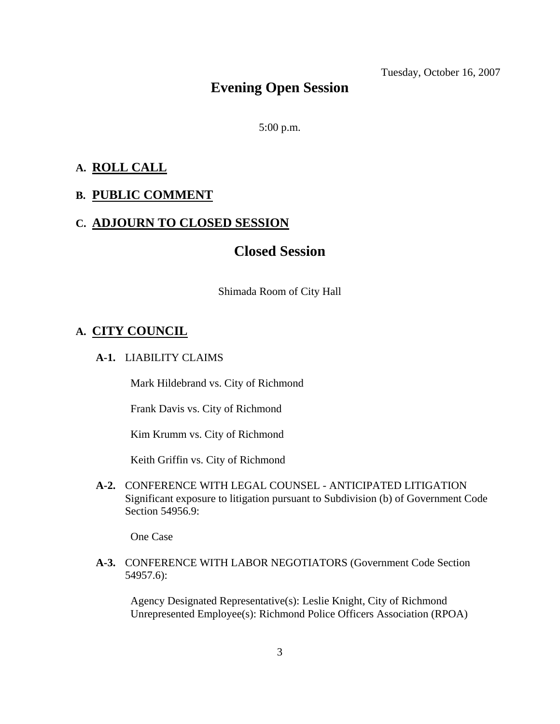# **Evening Open Session**

5:00 p.m.

### **A. ROLL CALL**

#### **B. PUBLIC COMMENT**

#### **C. ADJOURN TO CLOSED SESSION**

# **Closed Session**

Shimada Room of City Hall

#### **A. CITY COUNCIL**

#### **A-1.** LIABILITY CLAIMS

Mark Hildebrand vs. City of Richmond

Frank Davis vs. City of Richmond

Kim Krumm vs. City of Richmond

Keith Griffin vs. City of Richmond

 **A-2.** CONFERENCE WITH LEGAL COUNSEL - ANTICIPATED LITIGATION Significant exposure to litigation pursuant to Subdivision (b) of Government Code Section 54956.9:

One Case

 **A-3.** CONFERENCE WITH LABOR NEGOTIATORS (Government Code Section 54957.6):

Agency Designated Representative(s): Leslie Knight, City of Richmond Unrepresented Employee(s): Richmond Police Officers Association (RPOA)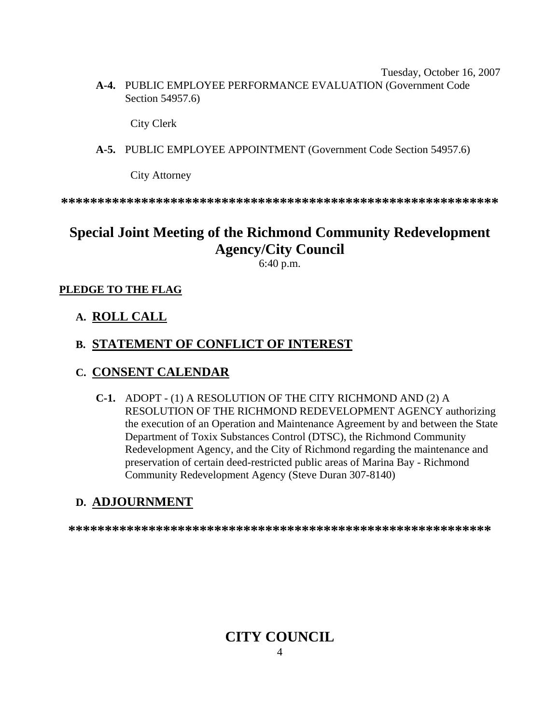Tuesday, October 16, 2007  **A-4.** PUBLIC EMPLOYEE PERFORMANCE EVALUATION (Government Code Section 54957.6)

City Clerk

 **A-5.** PUBLIC EMPLOYEE APPOINTMENT (Government Code Section 54957.6)

City Attorney

**\*\*\*\*\*\*\*\*\*\*\*\*\*\*\*\*\*\*\*\*\*\*\*\*\*\*\*\*\*\*\*\*\*\*\*\*\*\*\*\*\*\*\*\*\*\*\*\*\*\*\*\*\*\*\*\*\*\*\*\*** 

# **Special Joint Meeting of the Richmond Community Redevelopment Agency/City Council**

6:40 p.m.

#### **PLEDGE TO THE FLAG**

#### **A. ROLL CALL**

# **B. STATEMENT OF CONFLICT OF INTEREST**

#### **C. CONSENT CALENDAR**

 **C-1.** ADOPT - (1) A RESOLUTION OF THE CITY RICHMOND AND (2) A RESOLUTION OF THE RICHMOND REDEVELOPMENT AGENCY authorizing the execution of an Operation and Maintenance Agreement by and between the State Department of Toxix Substances Control (DTSC), the Richmond Community Redevelopment Agency, and the City of Richmond regarding the maintenance and preservation of certain deed-restricted public areas of Marina Bay - Richmond Community Redevelopment Agency (Steve Duran 307-8140)

# **D. ADJOURNMENT**

**\*\*\*\*\*\*\*\*\*\*\*\*\*\*\*\*\*\*\*\*\*\*\*\*\*\*\*\*\*\*\*\*\*\*\*\*\*\*\*\*\*\*\*\*\*\*\*\*\*\*\*\*\*\*\*\*\*\*** 

#### 4 **CITY COUNCIL**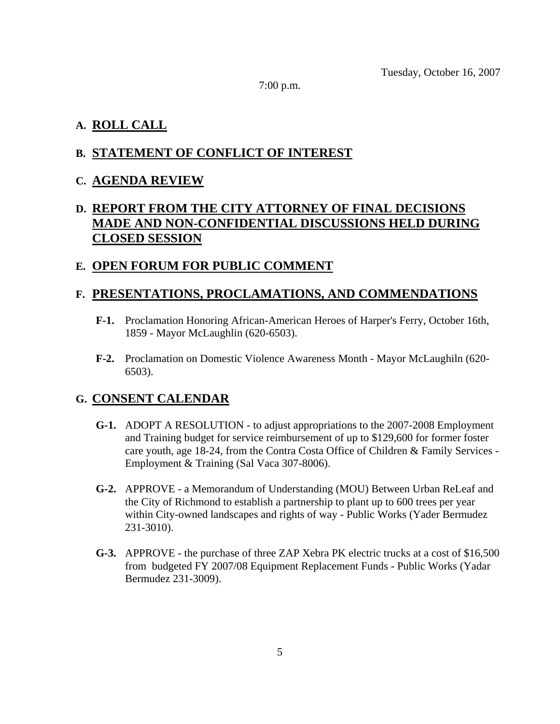7:00 p.m.

# **A. ROLL CALL**

# **B. STATEMENT OF CONFLICT OF INTEREST**

# **C. AGENDA REVIEW**

# **D. REPORT FROM THE CITY ATTORNEY OF FINAL DECISIONS MADE AND NON-CONFIDENTIAL DISCUSSIONS HELD DURING CLOSED SESSION**

# **E. OPEN FORUM FOR PUBLIC COMMENT**

# **F. PRESENTATIONS, PROCLAMATIONS, AND COMMENDATIONS**

- **F-1.** Proclamation Honoring African-American Heroes of Harper's Ferry, October 16th, 1859 - Mayor McLaughlin (620-6503).
- **F-2.** Proclamation on Domestic Violence Awareness Month Mayor McLaughiln (620- 6503).

# **G. CONSENT CALENDAR**

- **G-1.** ADOPT A RESOLUTION to adjust appropriations to the 2007-2008 Employment and Training budget for service reimbursement of up to \$129,600 for former foster care youth, age 18-24, from the Contra Costa Office of Children & Family Services - Employment & Training (Sal Vaca 307-8006).
- **G-2.** APPROVE a Memorandum of Understanding (MOU) Between Urban ReLeaf and the City of Richmond to establish a partnership to plant up to 600 trees per year within City-owned landscapes and rights of way - Public Works (Yader Bermudez 231-3010).
- **G-3.** APPROVE the purchase of three ZAP Xebra PK electric trucks at a cost of \$16,500 from budgeted FY 2007/08 Equipment Replacement Funds - Public Works (Yadar Bermudez 231-3009).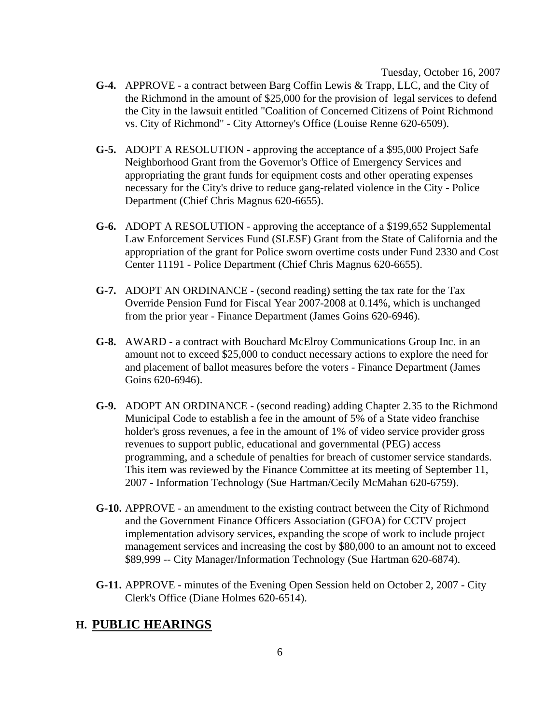- **G-4.** APPROVE a contract between Barg Coffin Lewis & Trapp, LLC, and the City of the Richmond in the amount of \$25,000 for the provision of legal services to defend the City in the lawsuit entitled "Coalition of Concerned Citizens of Point Richmond vs. City of Richmond" - City Attorney's Office (Louise Renne 620-6509).
- **G-5.** ADOPT A RESOLUTION approving the acceptance of a \$95,000 Project Safe Neighborhood Grant from the Governor's Office of Emergency Services and appropriating the grant funds for equipment costs and other operating expenses necessary for the City's drive to reduce gang-related violence in the City - Police Department (Chief Chris Magnus 620-6655).
- **G-6.** ADOPT A RESOLUTION approving the acceptance of a \$199,652 Supplemental Law Enforcement Services Fund (SLESF) Grant from the State of California and the appropriation of the grant for Police sworn overtime costs under Fund 2330 and Cost Center 11191 - Police Department (Chief Chris Magnus 620-6655).
- **G-7.** ADOPT AN ORDINANCE (second reading) setting the tax rate for the Tax Override Pension Fund for Fiscal Year 2007-2008 at 0.14%, which is unchanged from the prior year - Finance Department (James Goins 620-6946).
- **G-8.** AWARD a contract with Bouchard McElroy Communications Group Inc. in an amount not to exceed \$25,000 to conduct necessary actions to explore the need for and placement of ballot measures before the voters - Finance Department (James Goins 620-6946).
- **G-9.** ADOPT AN ORDINANCE (second reading) adding Chapter 2.35 to the Richmond Municipal Code to establish a fee in the amount of 5% of a State video franchise holder's gross revenues, a fee in the amount of 1% of video service provider gross revenues to support public, educational and governmental (PEG) access programming, and a schedule of penalties for breach of customer service standards. This item was reviewed by the Finance Committee at its meeting of September 11, 2007 - Information Technology (Sue Hartman/Cecily McMahan 620-6759).
- **G-10.** APPROVE an amendment to the existing contract between the City of Richmond and the Government Finance Officers Association (GFOA) for CCTV project implementation advisory services, expanding the scope of work to include project management services and increasing the cost by \$80,000 to an amount not to exceed \$89,999 -- City Manager/Information Technology (Sue Hartman 620-6874).
- **G-11.** APPROVE minutes of the Evening Open Session held on October 2, 2007 City Clerk's Office (Diane Holmes 620-6514).

#### **H. PUBLIC HEARINGS**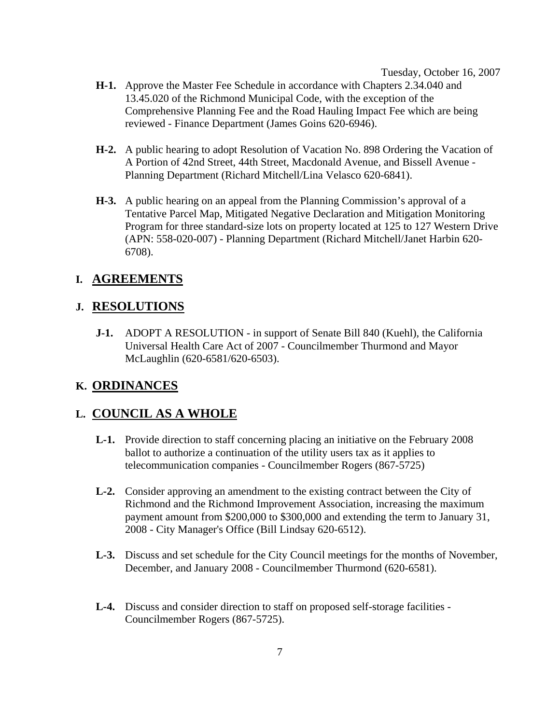- **H-1.** Approve the Master Fee Schedule in accordance with Chapters 2.34.040 and 13.45.020 of the Richmond Municipal Code, with the exception of the Comprehensive Planning Fee and the Road Hauling Impact Fee which are being reviewed - Finance Department (James Goins 620-6946).
- **H-2.** A public hearing to adopt Resolution of Vacation No. 898 Ordering the Vacation of A Portion of 42nd Street, 44th Street, Macdonald Avenue, and Bissell Avenue - Planning Department (Richard Mitchell/Lina Velasco 620-6841).
- **H-3.** A public hearing on an appeal from the Planning Commission's approval of a Tentative Parcel Map, Mitigated Negative Declaration and Mitigation Monitoring Program for three standard-size lots on property located at 125 to 127 Western Drive (APN: 558-020-007) - Planning Department (Richard Mitchell/Janet Harbin 620- 6708).

# **I. AGREEMENTS**

# **J. RESOLUTIONS**

 **J-1.** ADOPT A RESOLUTION - in support of Senate Bill 840 (Kuehl), the California Universal Health Care Act of 2007 - Councilmember Thurmond and Mayor McLaughlin (620-6581/620-6503).

#### **K. ORDINANCES**

# **L. COUNCIL AS A WHOLE**

- **L-1.** Provide direction to staff concerning placing an initiative on the February 2008 ballot to authorize a continuation of the utility users tax as it applies to telecommunication companies - Councilmember Rogers (867-5725)
- **L-2.** Consider approving an amendment to the existing contract between the City of Richmond and the Richmond Improvement Association, increasing the maximum payment amount from \$200,000 to \$300,000 and extending the term to January 31, 2008 - City Manager's Office (Bill Lindsay 620-6512).
- **L-3.** Discuss and set schedule for the City Council meetings for the months of November, December, and January 2008 - Councilmember Thurmond (620-6581).
- **L-4.** Discuss and consider direction to staff on proposed self-storage facilities Councilmember Rogers (867-5725).